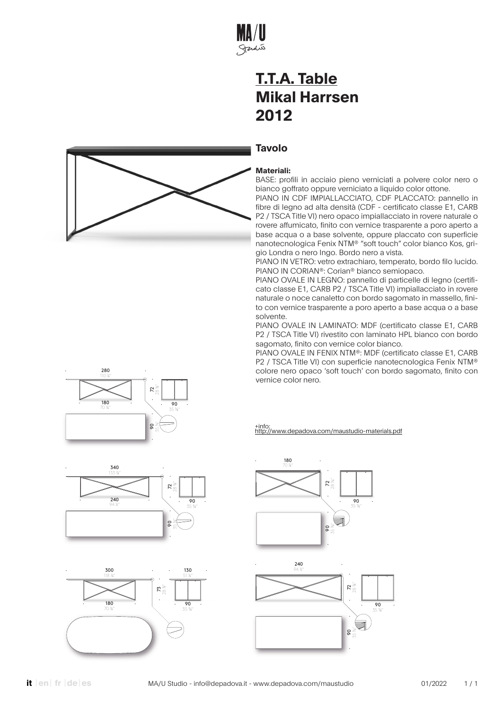

### **Tavolo**

#### **Materiali:**

BASE: profili in acciaio pieno verniciati a polvere color nero o bianco goffrato oppure verniciato a liquido color ottone.

PIANO IN CDF IMPIALLACCIATO, CDF PLACCATO: pannello in fibre di legno ad alta densità (CDF - certificato classe E1, CARB P2 / TSCA Title VI) nero opaco impiallacciato in rovere naturale o rovere affumicato, finito con vernice trasparente a poro aperto a base acqua o a base solvente, oppure placcato con superficie nanotecnologica Fenix NTM® "soft touch" color bianco Kos, grigio Londra o nero Ingo. Bordo nero a vista.

PIANO IN VETRO: vetro extrachiaro, temperato, bordo filo lucido. PIANO IN CORIAN®: Corian® bianco semiopaco.

PIANO OVALE IN LEGNO: pannello di particelle di legno (certificato classe E1, CARB P2 / TSCA Title VI) impiallacciato in rovere naturale o noce canaletto con bordo sagomato in massello, finito con vernice trasparente a poro aperto a base acqua o a base solvente.

PIANO OVALE IN LAMINATO: MDF (certificato classe E1, CARB P2 / TSCA Title VI) rivestito con laminato HPL bianco con bordo sagomato, finito con vernice color bianco.

PIANO OVALE IN FENIX NTM®: MDF (certificato classe E1, CARB P2 / TSCA Title VI) con superficie nanotecnologica Fenix NTM® colore nero opaco 'soft touch' con bordo sagomato, finito con vernice color nero.





· 300 · 118 1⁄8" · 180 · 70 7⁄8" ·<br>28 <sub>¾</sub><br>. · 90 · 35 3⁄8" · 130 · 51 1⁄8"







· 90 ·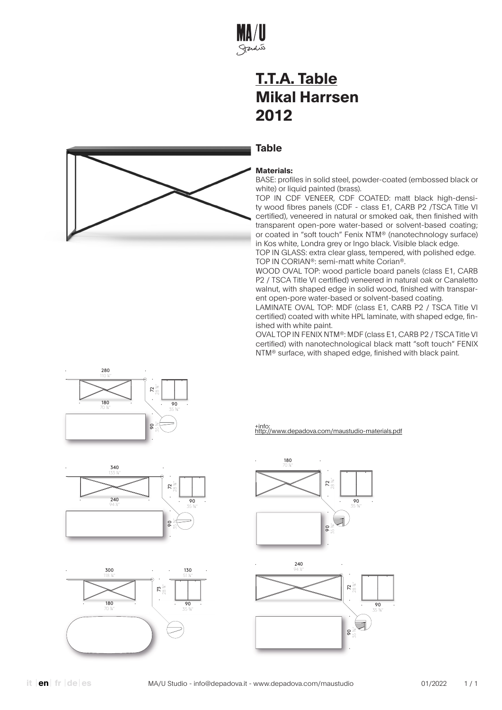

#### **Table**



BASE: profiles in solid steel, powder-coated (embossed black or white) or liquid painted (brass).

TOP IN CDF VENEER, CDF COATED: matt black high-density wood fibres panels (CDF - class E1, CARB P2 /TSCA Title VI certified), veneered in natural or smoked oak, then finished with transparent open-pore water-based or solvent-based coating; or coated in "soft touch" Fenix NTM® (nanotechnology surface) in Kos white, Londra grey or Ingo black. Visible black edge.

TOP IN GLASS: extra clear glass, tempered, with polished edge. TOP IN CORIAN®: semi-matt white Corian®.

WOOD OVAL TOP: wood particle board panels (class E1, CARB P2 / TSCA Title VI certified) veneered in natural oak or Canaletto walnut, with shaped edge in solid wood, finished with transparent open-pore water-based or solvent-based coating.

LAMINATE OVAL TOP: MDF (class E1, CARB P2 / TSCA Title VI certified) coated with white HPL laminate, with shaped edge, finished with white paint.

OVAL TOP IN FENIX NTM®: MDF (class E1, CARB P2 / TSCA Title VI certified) with nanotechnological black matt "soft touch" FENIX NTM® surface, with shaped edge, finished with black paint.





· 340 · 133 7⁄8" 28 3⁄8" · 72 ·  $240$ · 90 · 94 ½" 35 3⁄8" · 90 ·  $\tilde{Q}$ 35 3⁄8"

· 300 · 118 1⁄8" · 180 · 70 7⁄8" ·<br>28 <sub>¾</sub><br>.  $\overline{90}$ 35 3⁄8" · 130 · 51 1⁄8"



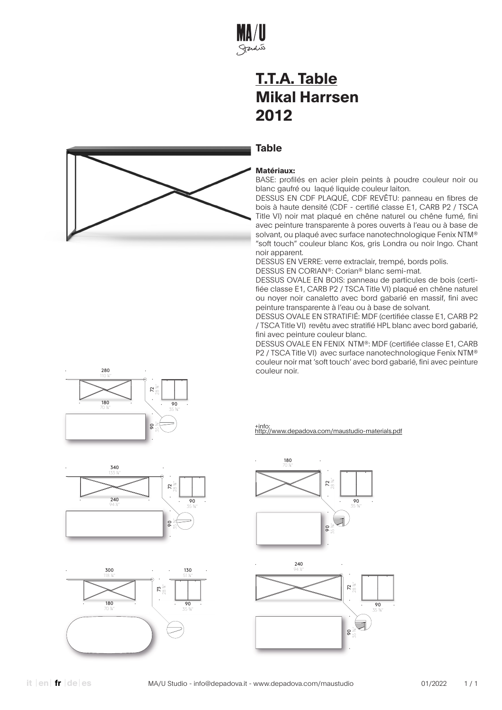

#### **Table**



BASE: profilés en acier plein peints à poudre couleur noir ou blanc gaufré ou laqué liquide couleur laiton.

DESSUS EN CDF PLAQUÉ, CDF REVÊTU: panneau en fibres de bois à haute densité (CDF - certifié classe E1, CARB P2 / TSCA Title VI) noir mat plaqué en chêne naturel ou chêne fumé, fini avec peinture transparente à pores ouverts à l'eau ou à base de solvant, ou plaqué avec surface nanotechnologique Fenix NTM® "soft touch" couleur blanc Kos, gris Londra ou noir Ingo. Chant noir apparent.

DESSUS EN VERRE: verre extraclair, trempé, bords polis.

DESSUS EN CORIAN®: Corian® blanc semi-mat.

DESSUS OVALE EN BOIS: panneau de particules de bois (certifiée classe E1, CARB P2 / TSCA Title VI) plaqué en chêne naturel ou noyer noir canaletto avec bord gabarié en massif, fini avec peinture transparente à l'eau ou à base de solvant.

DESSUS OVALE EN STRATIFIÉ: MDF (certifiée classe E1, CARB P2 / TSCA Title VI) revêtu avec stratifié HPL blanc avec bord gabarié, fini avec peinture couleur blanc.

DESSUS OVALE EN FENIX NTM®: MDF (certifiée classe E1, CARB P2 / TSCA Title VI) avec surface nanotechnologique Fenix NTM® couleur noir mat 'soft touch' avec bord gabarié, fini avec peinture couleur noir.









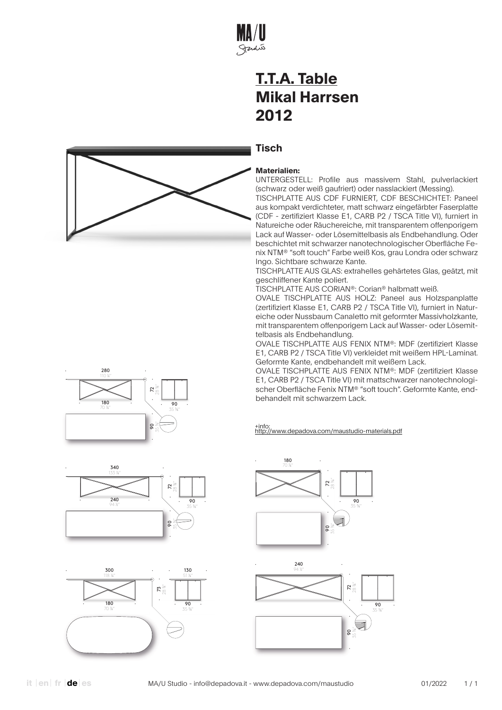

### **Tisch**



UNTERGESTELL: Profile aus massivem Stahl, pulverlackiert (schwarz oder weiß gaufriert) oder nasslackiert (Messing).

TISCHPLATTE AUS CDF FURNIERT, CDF BESCHICHTET: Paneel aus kompakt verdichteter, matt schwarz eingefärbter Faserplatte (CDF - zertifiziert Klasse E1, CARB P2 / TSCA Title VI), furniert in Natureiche oder Räuchereiche, mit transparentem offenporigem Lack auf Wasser- oder Lösemittelbasis als Endbehandlung. Oder beschichtet mit schwarzer nanotechnologischer Oberfläche Fenix NTM® "soft touch" Farbe weiß Kos, grau Londra oder schwarz Ingo. Sichtbare schwarze Kante.

TISCHPLATTE AUS GLAS: extrahelles gehärtetes Glas, geätzt, mit geschliffener Kante poliert.

TISCHPLATTE AUS CORIAN®: Corian® halbmatt weiß.

OVALE TISCHPLATTE AUS HOLZ: Paneel aus Holzspanplatte (zertifiziert Klasse E1, CARB P2 / TSCA Title VI), furniert in Natureiche oder Nussbaum Canaletto mit geformter Massivholzkante, mit transparentem offenporigem Lack auf Wasser- oder Lösemittelbasis als Endbehandlung.

OVALE TISCHPLATTE AUS FENIX NTM®: MDF (zertifiziert Klasse E1, CARB P2 / TSCA Title VI) verkleidet mit weißem HPL-Laminat. Geformte Kante, endbehandelt mit weißem Lack.

OVALE TISCHPLATTE AUS FENIX NTM®: MDF (zertifiziert Klasse E1, CARB P2 / TSCA Title VI) mit mattschwarzer nanotechnologischer Oberfläche Fenix NTM® "soft touch". Geformte Kante, endbehandelt mit schwarzem Lack.





· 300 · 118 1⁄8" · 180 · 70 7⁄8" ·<br>28 <sub>¾</sub><br>. · 90 · 35 3⁄8" · 130 · 51 1⁄8"